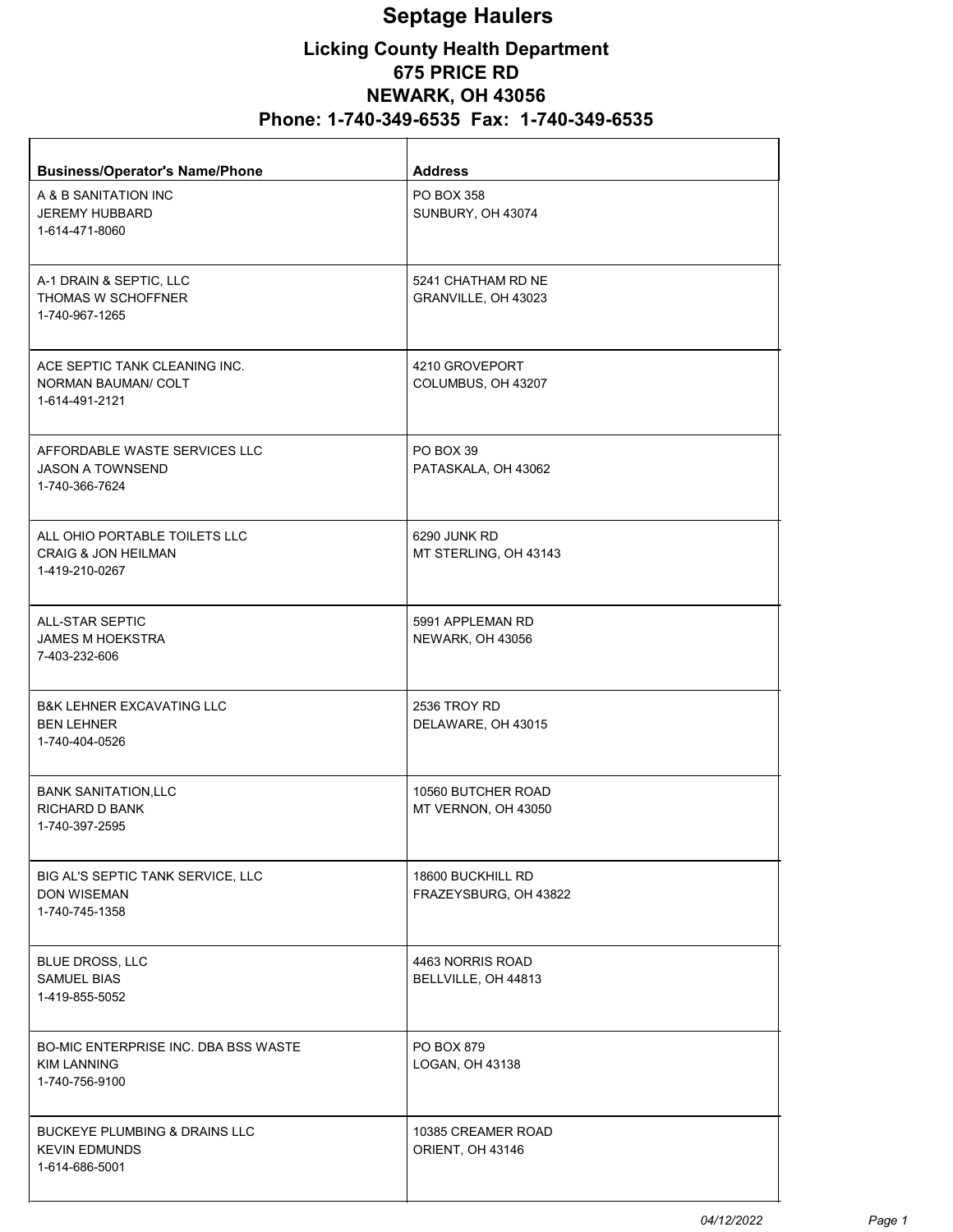# Septage Haulers

## Licking County Health Department 675 PRICE RD NEWARK, OH 43056 Phone: 1-740-349-6535 Fax: 1-740-349-6535

| <b>Business/Operator's Name/Phone</b>                                              | <b>Address</b>                             |
|------------------------------------------------------------------------------------|--------------------------------------------|
| A & B SANITATION INC<br>JEREMY HUBBARD<br>1-614-471-8060                           | PO BOX 358<br>SUNBURY, OH 43074            |
| A-1 DRAIN & SEPTIC, LLC<br>THOMAS W SCHOFFNER<br>1-740-967-1265                    | 5241 CHATHAM RD NE<br>GRANVILLE, OH 43023  |
| ACE SEPTIC TANK CLEANING INC.<br>NORMAN BAUMAN/ COLT<br>1-614-491-2121             | 4210 GROVEPORT<br>COLUMBUS, OH 43207       |
| AFFORDABLE WASTE SERVICES LLC<br>JASON A TOWNSEND<br>1-740-366-7624                | PO BOX 39<br>PATASKALA, OH 43062           |
| ALL OHIO PORTABLE TOILETS LLC<br><b>CRAIG &amp; JON HEILMAN</b><br>1-419-210-0267  | 6290 JUNK RD<br>MT STERLING, OH 43143      |
| ALL-STAR SEPTIC<br>JAMES M HOEKSTRA<br>7-403-232-606                               | 5991 APPLEMAN RD<br>NEWARK, OH 43056       |
| B&K LEHNER EXCAVATING LLC<br><b>BEN LEHNER</b><br>1-740-404-0526                   | 2536 TROY RD<br>DELAWARE, OH 43015         |
| <b>BANK SANITATION, LLC</b><br>RICHARD D BANK<br>1-740-397-2595                    | 10560 BUTCHER ROAD<br>MT VERNON, OH 43050  |
| BIG AL'S SEPTIC TANK SERVICE, LLC<br>DON WISEMAN<br>1-740-745-1358                 | 18600 BUCKHILL RD<br>FRAZEYSBURG, OH 43822 |
| <b>BLUE DROSS, LLC</b><br><b>SAMUEL BIAS</b><br>1-419-855-5052                     | 4463 NORRIS ROAD<br>BELLVILLE, OH 44813    |
| BO-MIC ENTERPRISE INC. DBA BSS WASTE<br><b>KIM LANNING</b><br>1-740-756-9100       | PO BOX 879<br>LOGAN, OH 43138              |
| <b>BUCKEYE PLUMBING &amp; DRAINS LLC</b><br><b>KEVIN EDMUNDS</b><br>1-614-686-5001 | 10385 CREAMER ROAD<br>ORIENT, OH 43146     |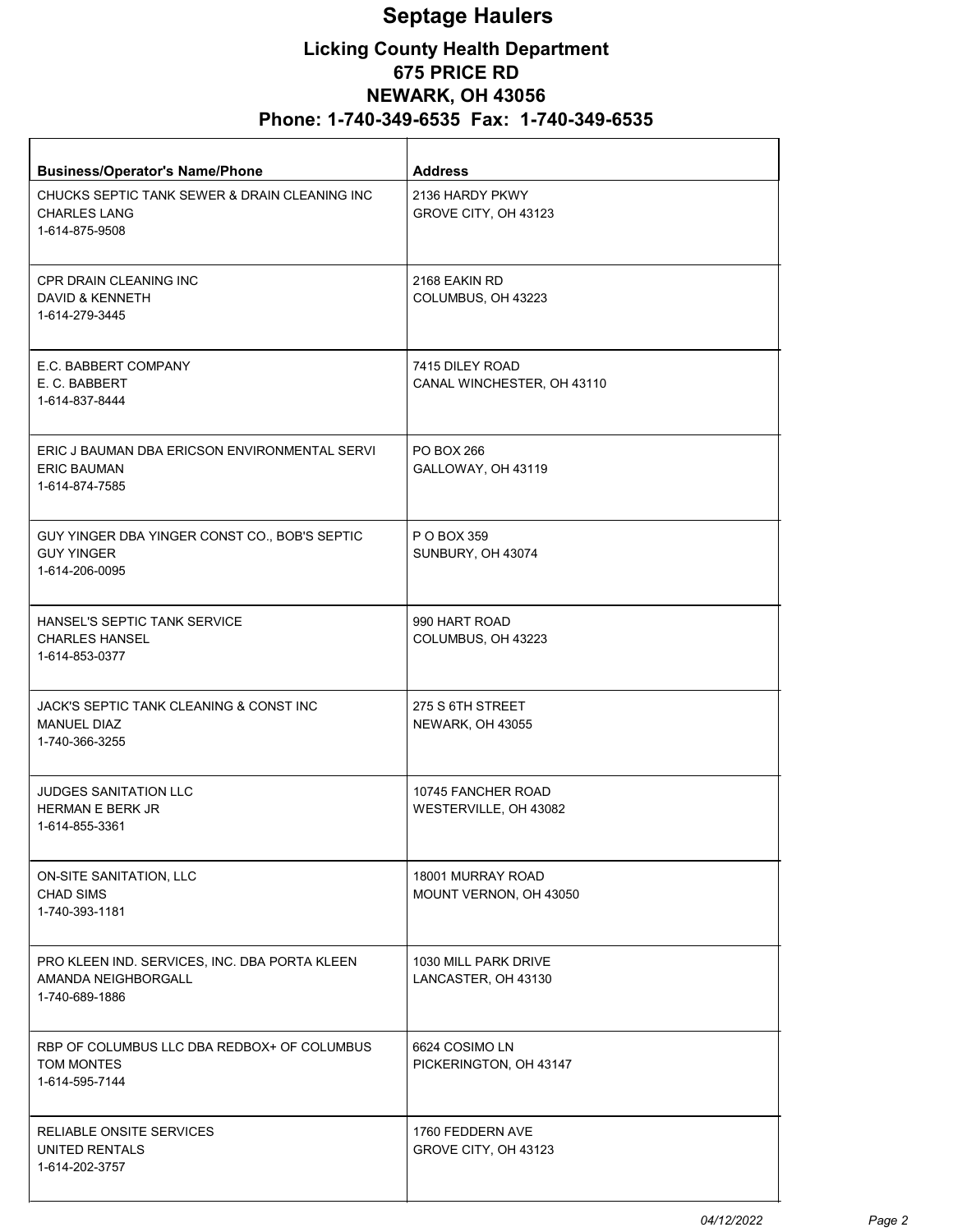# Septage Haulers

## Licking County Health Department 675 PRICE RD NEWARK, OH 43056 Phone: 1-740-349-6535 Fax: 1-740-349-6535

| <b>Business/Operator's Name/Phone</b>                                                  | <b>Address</b>                                |
|----------------------------------------------------------------------------------------|-----------------------------------------------|
| CHUCKS SEPTIC TANK SEWER & DRAIN CLEANING INC<br><b>CHARLES LANG</b><br>1-614-875-9508 | 2136 HARDY PKWY<br>GROVE CITY, OH 43123       |
| CPR DRAIN CLEANING INC<br>DAVID & KENNETH<br>1-614-279-3445                            | 2168 EAKIN RD<br>COLUMBUS, OH 43223           |
| E.C. BABBERT COMPANY<br>E. C. BABBERT<br>1-614-837-8444                                | 7415 DILEY ROAD<br>CANAL WINCHESTER, OH 43110 |
| ERIC J BAUMAN DBA ERICSON ENVIRONMENTAL SERVI<br><b>ERIC BAUMAN</b><br>1-614-874-7585  | PO BOX 266<br>GALLOWAY, OH 43119              |
| GUY YINGER DBA YINGER CONST CO., BOB'S SEPTIC<br><b>GUY YINGER</b><br>1-614-206-0095   | P O BOX 359<br>SUNBURY, OH 43074              |
| HANSEL'S SEPTIC TANK SERVICE<br><b>CHARLES HANSEL</b><br>1-614-853-0377                | 990 HART ROAD<br>COLUMBUS, OH 43223           |
| JACK'S SEPTIC TANK CLEANING & CONST INC<br><b>MANUEL DIAZ</b><br>1-740-366-3255        | 275 S 6TH STREET<br>NEWARK, OH 43055          |
| <b>JUDGES SANITATION LLC</b><br><b>HERMAN E BERK JR</b><br>1-614-855-3361              | 10745 FANCHER ROAD<br>WESTERVILLE, OH 43082   |
| ON-SITE SANITATION, LLC<br><b>CHAD SIMS</b><br>1-740-393-1181                          | 18001 MURRAY ROAD<br>MOUNT VERNON, OH 43050   |
| PRO KLEEN IND. SERVICES, INC. DBA PORTA KLEEN<br>AMANDA NEIGHBORGALL<br>1-740-689-1886 | 1030 MILL PARK DRIVE<br>LANCASTER, OH 43130   |
| RBP OF COLUMBUS LLC DBA REDBOX+ OF COLUMBUS<br><b>TOM MONTES</b><br>1-614-595-7144     | 6624 COSIMO LN<br>PICKERINGTON, OH 43147      |
| RELIABLE ONSITE SERVICES<br>UNITED RENTALS<br>1-614-202-3757                           | 1760 FEDDERN AVE<br>GROVE CITY, OH 43123      |